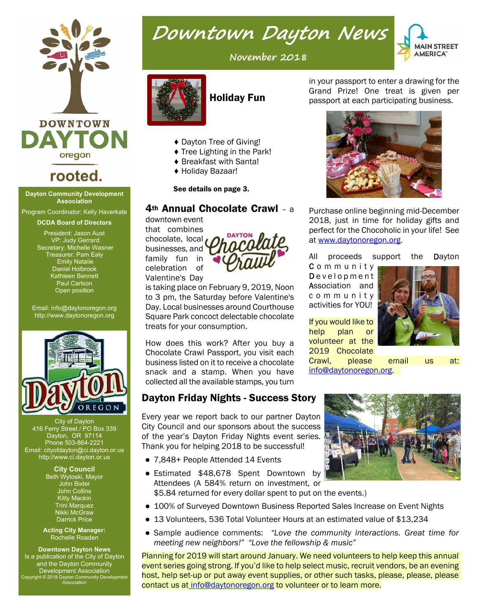

## **rooted.**

#### **Dayton Community Development Association**

Program Coordinator: Kelly Haverkate

**DCDA Board of Directors**

President: Jason Aust VP: Judy Gerrard Secretary: Michelle Wasner Treasurer: Pam Ealy Emily Natalie Daniel Holbrook Kathleen Bennett Paul Carlson Open position

Email: info@daytonoregon.org http://www.daytonoregon.org



City of Dayton 416 Ferry Street / PO Box 339 Dayton, OR 97114 Phone 503-864-2221 Email: cityofdayton@ci.dayton.or.us http://www.ci.dayton.or.us

> **City Council** Beth Wytoski, Mayor John Bixler John Collins Kitty Mackin Trini Marquez Nikki McGraw Darrick Price

**Acting City Manager:** Rochelle Roaden

**Downtown Dayton News** Is a publication of the City of Dayton and the Dayton Community Development Association Copyright © 2018 Dayton Community Development Association

## **November 2018**

Downtown Dayton News



### Holiday Fun

- ♦ Dayton Tree of Giving!
- ♦ Tree Lighting in the Park!
- ♦ Breakfast with Santa!
- ♦ Holiday Bazaar!

See details on page 3.

## 4th Annual Chocolate Crawl – a

downtown event

that combines chocolate, local businesses, and



is taking place on February 9, 2019, Noon to 3 pm, the Saturday before Valentine's Day. Local businesses around Courthouse Square Park concoct delectable chocolate treats for your consumption.

How does this work? After you buy a Chocolate Crawl Passport, you visit each business listed on it to receive a chocolate snack and a stamp. When you have collected all the available stamps, you turn

## Dayton Friday Nights - Success Story

Every year we report back to our partner Dayton City Council and our sponsors about the success of the year's Dayton Friday Nights event series. Thank you for helping 2018 to be successful!

- 7,848+ People Attended 14 Events
- Estimated \$48,678 Spent Downtown by Attendees (A 584% return on investment, or \$5.84 returned for every dollar spent to put on the events.)
- 100% of Surveyed Downtown Business Reported Sales Increase on Event Nights
- 13 Volunteers, 536 Total Volunteer Hours at an estimated value of \$13,234
- Sample audience comments: *"Love the community interactions. Great time for meeting new neighbors!" "Love the fellowship & music"*

Planning for 2019 will start around January. We need volunteers to help keep this annual event series going strong. If you'd like to help select music, recruit vendors, be an evening host, help set-up or put away event supplies, or other such tasks, please, please, please contact us a[t info@daytonoregon.org](mailto:info@daytonoregon.org) to volunteer or to learn more.





If you would like to help plan or volunteer at the 2019 Chocolate

Crawl, please email us at: info@daytonoregon.org.

Association and c o m m u n i t y activities for YOU!





at www.daytonoregon.org.



Grand Prize! One treat is given per passport at each participating business.

Purchase online beginning mid-December 2018, just in time for holiday gifts and perfect for the Chocoholic in your life! See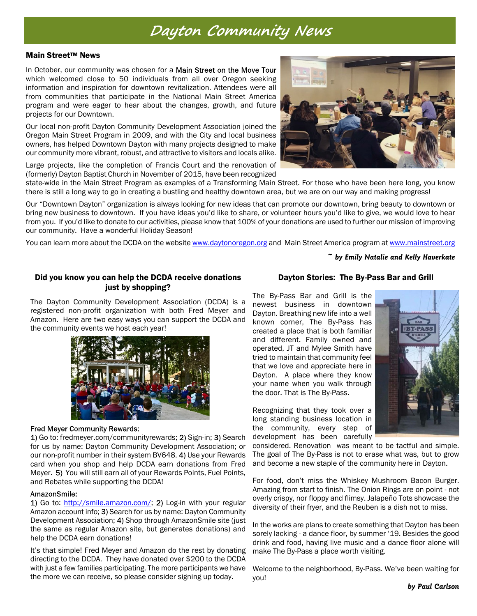## Dayton Community News

#### **Main Street™ News**

In October, our community was chosen for a Main Street on the Move Tour which welcomed close to 50 individuals from all over Oregon seeking information and inspiration for downtown revitalization. Attendees were all from communities that participate in the National Main Street America program and were eager to hear about the changes, growth, and future projects for our Downtown.

Our local non-profit Dayton Community Development Association joined the Oregon Main Street Program in 2009, and with the City and local business owners, has helped Downtown Dayton with many projects designed to make our community more vibrant, robust, and attractive to visitors and locals alike.

Large projects, like the completion of Francis Court and the renovation of (formerly) Dayton Baptist Church in November of 2015, have been recognized

state-wide in the Main Street Program as examples of a Transforming Main Street. For those who have been here long, you know there is still a long way to go in creating a bustling and healthy downtown area, but we are on our way and making progress!

Our "Downtown Dayton" organization is always looking for new ideas that can promote our downtown, bring beauty to downtown or bring new business to downtown. If you have ideas you'd like to share, or volunteer hours you'd like to give, we would love to hear from you. If you'd like to donate to our activities, please know that 100% of your donations are used to further our mission of improving our community. Have a wonderful Holiday Season!

You can learn more abou[t](www.mainstreet.org) the DCDA on the website www.daytonoregon.org and Main Street America program at <www.mainstreet.org>

*~ by Emily Natalie and Kelly Haverkate*

#### Did you know you can help the DCDA receive donations just by shopping?

The Dayton Community Development Association (DCDA) is a registered non-profit organization with both Fred Meyer and Amazon. Here are two easy ways you can support the DCDA and the community events we host each year!



#### **Fred Meyer Community Rewards:**

1) Go to: fredmeyer.com/communityrewards; 2) Sign-in; 3) Search for us by name: Dayton Community Development Association; or our non-profit number in their system BV648. 4) Use your Rewards card when you shop and help DCDA earn donations from Fred Meyer. 5) You will still earn all of your Rewards Points, Fuel Points, and Rebates while supporting the DCDA!

#### AmazonSmile:

1) Go to: http://smile.amazon.com/; 2) Log-in with your regular Amazon account info; 3) Search for us by name: Dayton Community Development Association; 4) Shop through AmazonSmile site (just the same as regular Amazon site, but generates donations) and help the DCDA earn donations!

It's that simple! Fred Meyer and Amazon do the rest by donating directing to the DCDA. They have donated over \$200 to the DCDA with just a few families participating. The more participants we have the more we can receive, so please consider signing up today.

#### Dayton Stories: The By-Pass Bar and Grill

The By-Pass Bar and Grill is the newest business in downtown Dayton. Breathing new life into a well known corner, The By-Pass has created a place that is both familiar and different. Family owned and operated, JT and Mylee Smith have tried to maintain that community feel that we love and appreciate here in Dayton. A place where they know your name when you walk through the door. That is The By-Pass.



Recognizing that they took over a long standing business location in the community, every step of development has been carefully

considered. Renovation was meant to be tactful and simple. The goal of The By-Pass is not to erase what was, but to grow and become a new staple of the community here in Dayton.

For food, don't miss the Whiskey Mushroom Bacon Burger. Amazing from start to finish. The Onion Rings are on point - not overly crispy, nor floppy and flimsy. Jalapeño Tots showcase the diversity of their fryer, and the Reuben is a dish not to miss.

In the works are plans to create something that Dayton has been sorely lacking - a dance floor, by summer '19. Besides the good drink and food, having live music and a dance floor alone will make The By-Pass a place worth visiting.

Welcome to the neighborhood, By-Pass. We've been waiting for you!

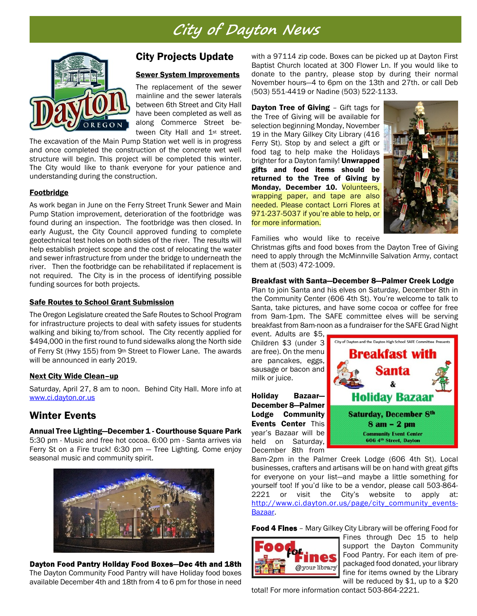## City of Dayton News



### City Projects Update

#### Sewer System Improvements

The replacement of the sewer mainline and the sewer laterals between 6th Street and City Hall have been completed as well as along Commerce Street between City Hall and 1<sup>st</sup> street.

The excavation of the Main Pump Station wet well is in progress and once completed the construction of the concrete wet well structure will begin. This project will be completed this winter. The City would like to thank everyone for your patience and understanding during the construction.

#### **Footbridge**

As work began in June on the Ferry Street Trunk Sewer and Main Pump Station improvement, deterioration of the footbridge was found during an inspection. The footbridge was then closed. In early August, the City Council approved funding to complete geotechnical test holes on both sides of the river. The results will help establish project scope and the cost of relocating the water and sewer infrastructure from under the bridge to underneath the river. Then the footbridge can be rehabilitated if replacement is not required. The City is in the process of identifying possible funding sources for both projects.

#### Safe Routes to School Grant Submission

The Oregon Legislature created the Safe Routes to School Program for infrastructure projects to deal with safety issues for students walking and biking to/from school. The City recently applied for \$494,000 in the first round to fund sidewalks along the North side of Ferry St (Hwy 155) from 9th Street to Flower Lane. The awards will be announced in early 2019.

#### Next City Wide Clean–up

Saturday, April 27, 8 am to noon. Behind City Hall. More info a[t](www.ci.dayton.or.us) <www.ci.dayton.or.us>

#### Winter Events

Annual Tree Lighting—December 1 - Courthouse Square Park 5:30 pm - Music and free hot cocoa. 6:00 pm - Santa arrives via Ferry St on a Fire truck! 6:30 pm — Tree Lighting. Come enjoy seasonal music and community spirit.



Dayton Food Pantry Holiday Food Boxes-Dec 4th and 18th The Dayton Community Food Pantry will have Holiday food boxes available December 4th and 18th from 4 to 6 pm for those in need with a 97114 zip code. Boxes can be picked up at Dayton First Baptist Church located at 300 Flower Ln. If you would like to donate to the pantry, please stop by during their normal November hours—4 to 6pm on the 13th and 27th. or call Deb (503) 551-4419 or Nadine (503) 522-1133.

**Dayton Tree of Giving - Gift tags for** the Tree of Giving will be available for selection beginning Monday, November 19 in the Mary Gilkey City Library (416 Ferry St). Stop by and select a gift or food tag to help make the Holidays brighter for a Dayton family! Unwrapped gifts and food items should be returned to the Tree of Giving by Monday, December 10. Volunteers, wrapping paper, and tape are also needed. Please contact Lorri Flores at 971-237-5037 if you're able to help, or for more information.



Families who would like to receive

Christmas gifts and food boxes from the Dayton Tree of Giving need to apply through the McMinnville Salvation Army, contact them at (503) 472-1009.

#### Breakfast with Santa—December 8—Palmer Creek Lodge

Plan to join Santa and his elves on Saturday, December 8th in the Community Center (606 4th St). You're welcome to talk to Santa, take pictures, and have some cocoa or coffee for free from 9am-1pm. The SAFE committee elves will be serving breakfast from 8am-noon as a fundraiser for the SAFE Grad Night

event. Adults are \$5, Children \$3 (under 3 are free). On the menu are pancakes, eggs, sausage or bacon and milk or juice.

Holiday Bazaar— December 8—Palmer Lodge Community Events Center This year's Bazaar will be held on Saturday, December 8th from



8am-2pm in the Palmer Creek Lodge (606 4th St). Local businesses, crafters and artisans will be on hand with great gifts for everyone on your list—and maybe a little something for yourself too! If you'd like to be a vendor, please call 503-864- 2221 or visit the City's website to apply at[:](http://www.ci.dayton.or.us/page/city_community_events-Bazaar) [http://www.ci.dayton.or.us/page/city\\_community\\_events-](http://www.ci.dayton.or.us/page/city_community_events-Bazaar)[Bazaar](http://www.ci.dayton.or.us/page/city_community_events-Bazaar).

Food 4 Fines - Mary Gilkey City Library will be offering Food for



Fines through Dec 15 to help support the Dayton Community Food Pantry. For each item of prepackaged food donated, your library fine for items owned by the Library will be reduced by \$1, up to a \$20

total! For more information contact 503-864-2221.